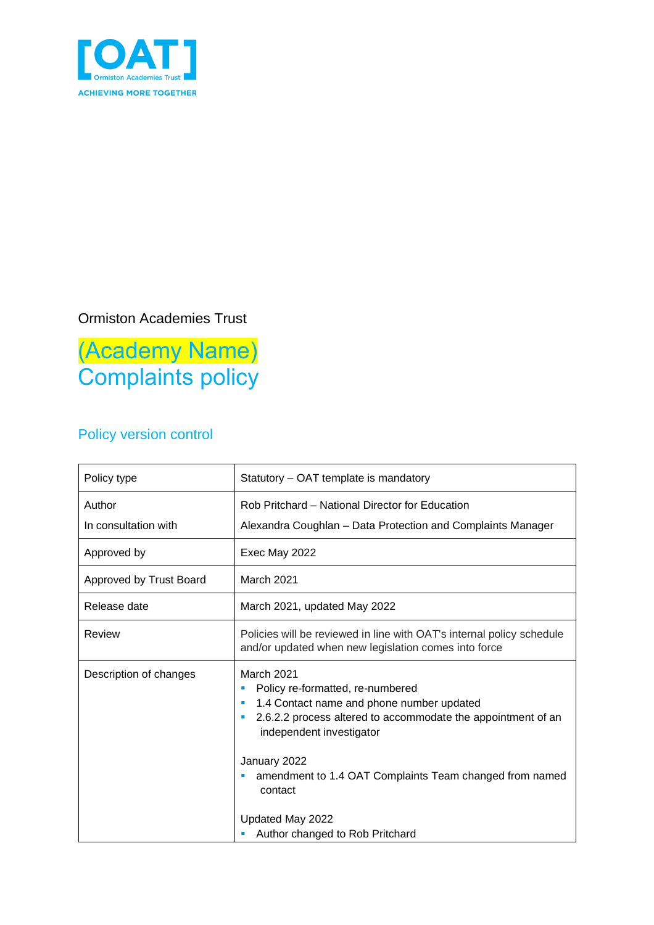

# Ormiston Academies Trust

(Academy Name) Complaints policy

# Policy version control

| Policy type                    | Statutory - OAT template is mandatory                                                                                                                                                                                                                                                   |  |
|--------------------------------|-----------------------------------------------------------------------------------------------------------------------------------------------------------------------------------------------------------------------------------------------------------------------------------------|--|
| Author<br>In consultation with | Rob Pritchard – National Director for Education<br>Alexandra Coughlan - Data Protection and Complaints Manager                                                                                                                                                                          |  |
| Approved by                    | Exec May 2022                                                                                                                                                                                                                                                                           |  |
| Approved by Trust Board        | <b>March 2021</b>                                                                                                                                                                                                                                                                       |  |
| Release date                   | March 2021, updated May 2022                                                                                                                                                                                                                                                            |  |
| Review                         | Policies will be reviewed in line with OAT's internal policy schedule<br>and/or updated when new legislation comes into force                                                                                                                                                           |  |
| Description of changes         | March 2021<br>Policy re-formatted, re-numbered<br>1.4 Contact name and phone number updated<br>×<br>2.6.2.2 process altered to accommodate the appointment of an<br>п<br>independent investigator<br>January 2022<br>amendment to 1.4 OAT Complaints Team changed from named<br>contact |  |
|                                | Updated May 2022<br>Author changed to Rob Pritchard                                                                                                                                                                                                                                     |  |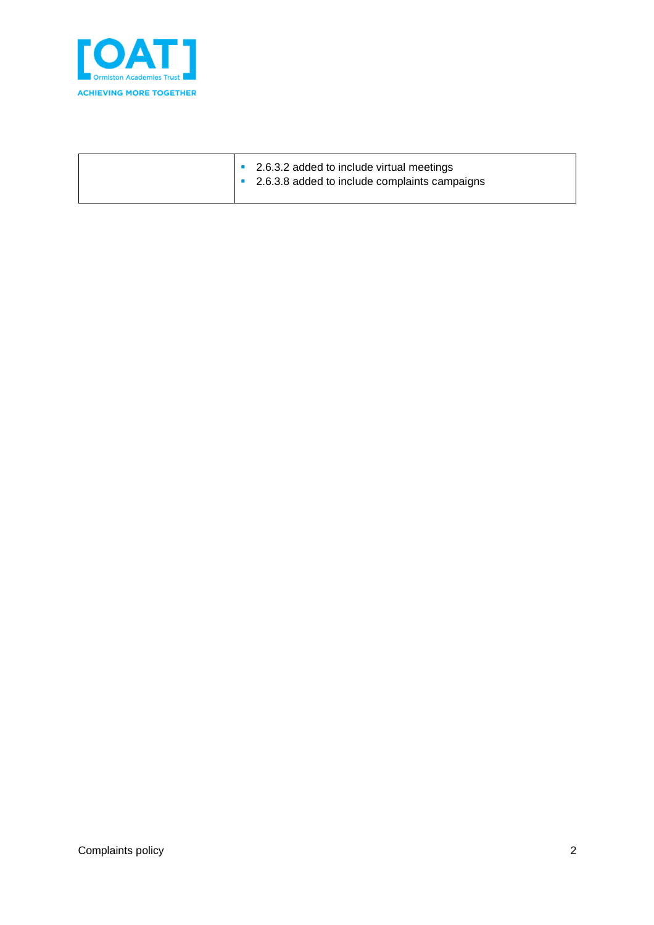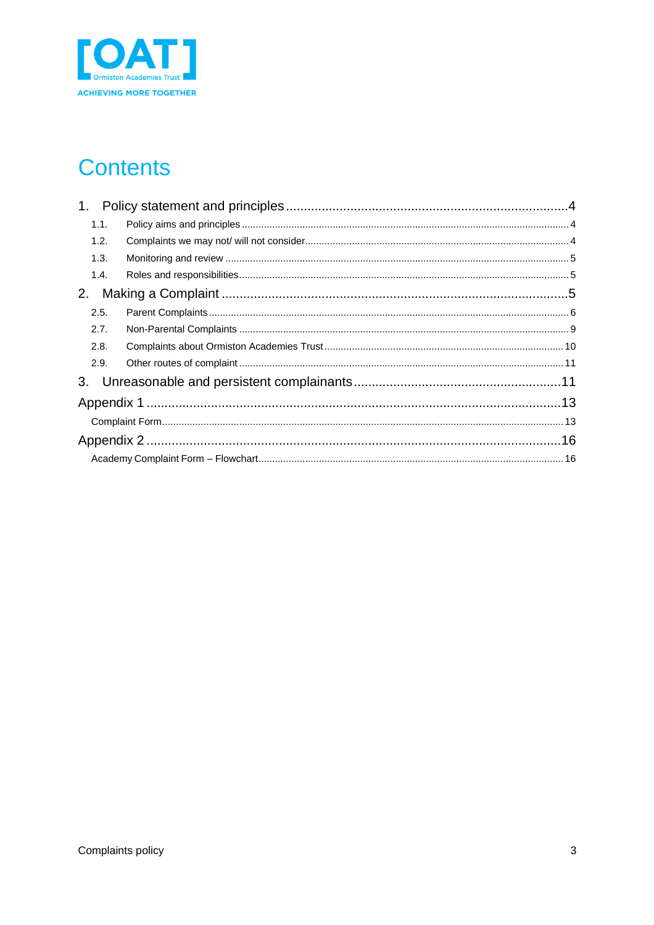

# **Contents**

| 1.   |  |
|------|--|
| 1.1. |  |
| 1.2. |  |
| 1.3. |  |
| 1.4. |  |
| 2.   |  |
| 2.5. |  |
| 2.7. |  |
| 2.8. |  |
| 2.9. |  |
|      |  |
|      |  |
|      |  |
|      |  |
|      |  |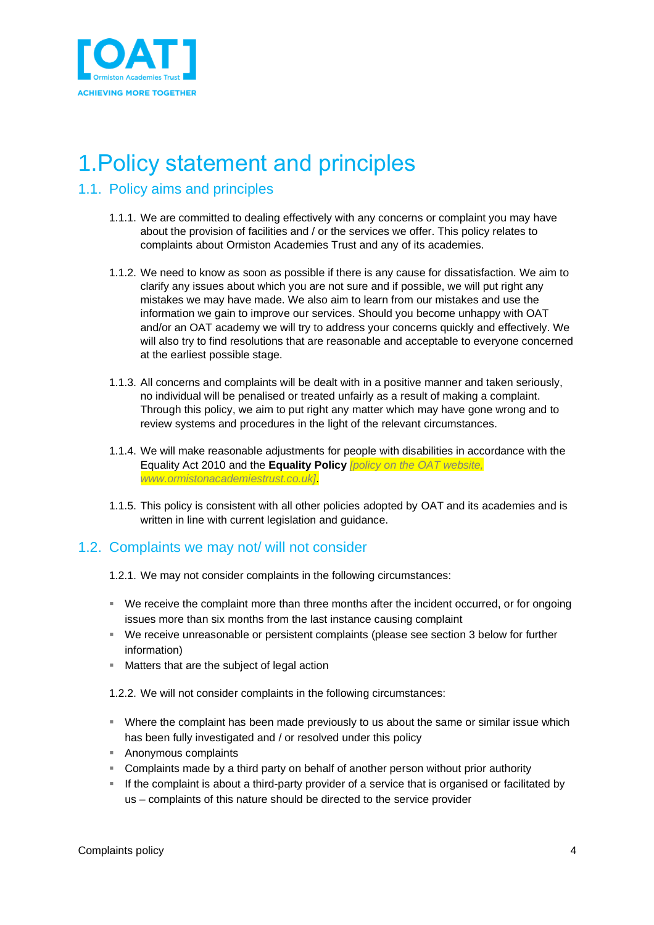

# <span id="page-3-0"></span>1.Policy statement and principles

## <span id="page-3-1"></span>1.1. Policy aims and principles

- 1.1.1. We are committed to dealing effectively with any concerns or complaint you may have about the provision of facilities and / or the services we offer. This policy relates to complaints about Ormiston Academies Trust and any of its academies.
- 1.1.2. We need to know as soon as possible if there is any cause for dissatisfaction. We aim to clarify any issues about which you are not sure and if possible, we will put right any mistakes we may have made. We also aim to learn from our mistakes and use the information we gain to improve our services. Should you become unhappy with OAT and/or an OAT academy we will try to address your concerns quickly and effectively. We will also try to find resolutions that are reasonable and acceptable to everyone concerned at the earliest possible stage.
- 1.1.3. All concerns and complaints will be dealt with in a positive manner and taken seriously, no individual will be penalised or treated unfairly as a result of making a complaint. Through this policy, we aim to put right any matter which may have gone wrong and to review systems and procedures in the light of the relevant circumstances.
- 1.1.4. We will make reasonable adjustments for people with disabilities in accordance with the Equality Act 2010 and the **Equality Policy** *[policy on the OAT website, www.ormistonacademiestrust.co.uk]*.
- 1.1.5. This policy is consistent with all other policies adopted by OAT and its academies and is written in line with current legislation and guidance.

## <span id="page-3-2"></span>1.2. Complaints we may not/ will not consider

- 1.2.1. We may not consider complaints in the following circumstances:
- We receive the complaint more than three months after the incident occurred, or for ongoing issues more than six months from the last instance causing complaint
- We receive unreasonable or persistent complaints (please see section 3 below for further information)
- Matters that are the subject of legal action
- 1.2.2. We will not consider complaints in the following circumstances:
- **EXT** Where the complaint has been made previously to us about the same or similar issue which has been fully investigated and / or resolved under this policy
- Anonymous complaints
- Complaints made by a third party on behalf of another person without prior authority
- If the complaint is about a third-party provider of a service that is organised or facilitated by us – complaints of this nature should be directed to the service provider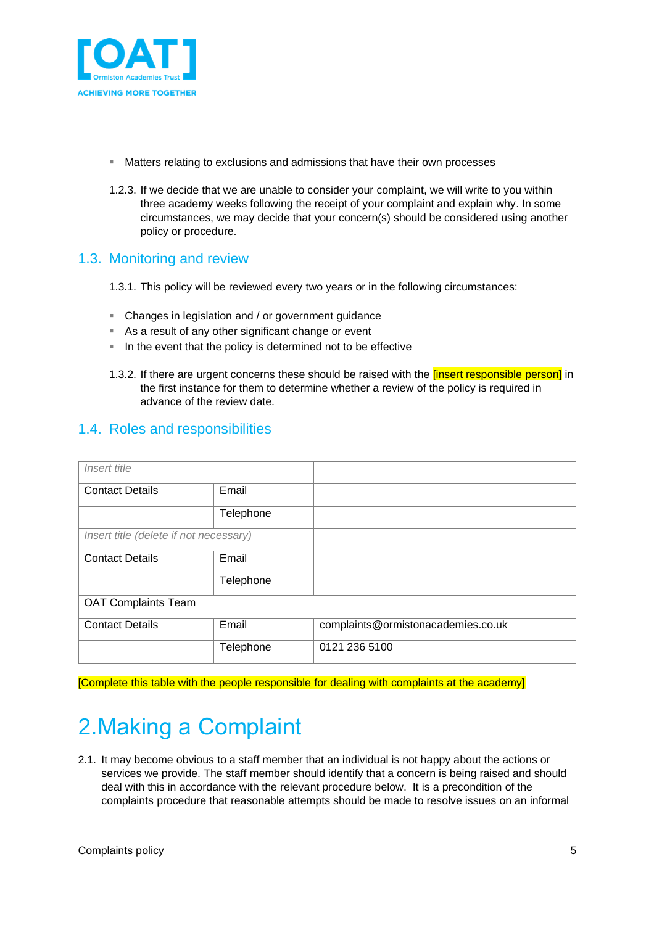

- Matters relating to exclusions and admissions that have their own processes
- 1.2.3. If we decide that we are unable to consider your complaint, we will write to you within three academy weeks following the receipt of your complaint and explain why. In some circumstances, we may decide that your concern(s) should be considered using another policy or procedure.

## <span id="page-4-0"></span>1.3. Monitoring and review

- 1.3.1. This policy will be reviewed every two years or in the following circumstances:
- Changes in legislation and / or government guidance
- As a result of any other significant change or event
- In the event that the policy is determined not to be effective
- 1.3.2. If there are urgent concerns these should be raised with the *[insert responsible person]* in the first instance for them to determine whether a review of the policy is required in advance of the review date.

## <span id="page-4-1"></span>1.4. Roles and responsibilities

| Insert title                           |           |                                    |  |  |
|----------------------------------------|-----------|------------------------------------|--|--|
| <b>Contact Details</b>                 | Email     |                                    |  |  |
|                                        | Telephone |                                    |  |  |
| Insert title (delete if not necessary) |           |                                    |  |  |
| <b>Contact Details</b>                 | Email     |                                    |  |  |
|                                        | Telephone |                                    |  |  |
| <b>OAT Complaints Team</b>             |           |                                    |  |  |
| <b>Contact Details</b>                 | Email     | complaints@ormistonacademies.co.uk |  |  |
|                                        | Telephone | 0121 236 5100                      |  |  |

[Complete this table with the people responsible for dealing with complaints at the academy]

# <span id="page-4-2"></span>2.Making a Complaint

2.1. It may become obvious to a staff member that an individual is not happy about the actions or services we provide. The staff member should identify that a concern is being raised and should deal with this in accordance with the relevant procedure below. It is a precondition of the complaints procedure that reasonable attempts should be made to resolve issues on an informal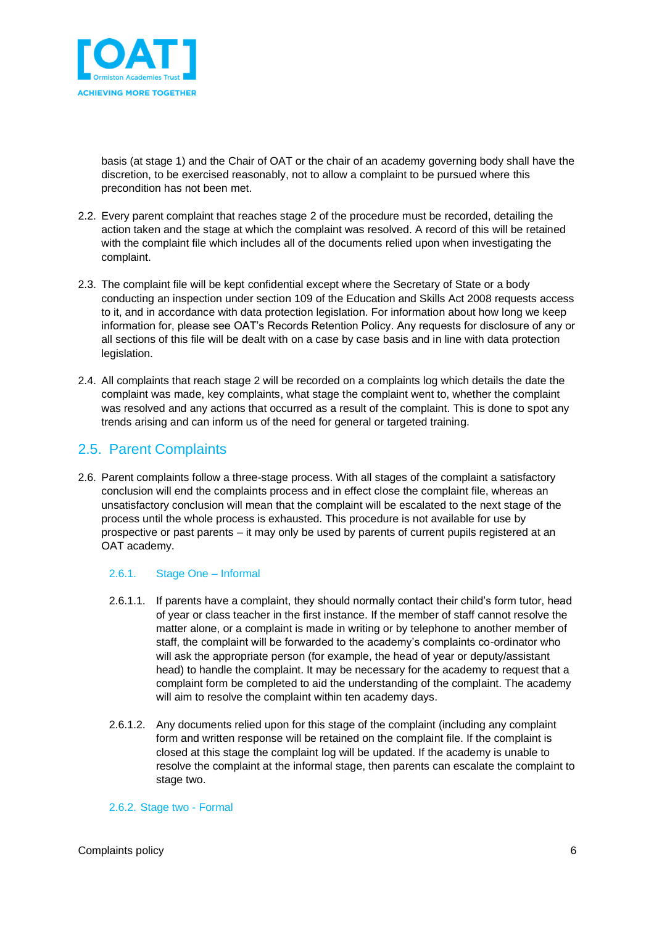

basis (at stage 1) and the Chair of OAT or the chair of an academy governing body shall have the discretion, to be exercised reasonably, not to allow a complaint to be pursued where this precondition has not been met.

- 2.2. Every parent complaint that reaches stage 2 of the procedure must be recorded, detailing the action taken and the stage at which the complaint was resolved. A record of this will be retained with the complaint file which includes all of the documents relied upon when investigating the complaint.
- 2.3. The complaint file will be kept confidential except where the Secretary of State or a body conducting an inspection under section 109 of the Education and Skills Act 2008 requests access to it, and in accordance with data protection legislation. For information about how long we keep information for, please see OAT's Records Retention Policy. Any requests for disclosure of any or all sections of this file will be dealt with on a case by case basis and in line with data protection legislation.
- 2.4. All complaints that reach stage 2 will be recorded on a complaints log which details the date the complaint was made, key complaints, what stage the complaint went to, whether the complaint was resolved and any actions that occurred as a result of the complaint. This is done to spot any trends arising and can inform us of the need for general or targeted training.

# <span id="page-5-0"></span>2.5. Parent Complaints

2.6. Parent complaints follow a three-stage process. With all stages of the complaint a satisfactory conclusion will end the complaints process and in effect close the complaint file, whereas an unsatisfactory conclusion will mean that the complaint will be escalated to the next stage of the process until the whole process is exhausted. This procedure is not available for use by prospective or past parents – it may only be used by parents of current pupils registered at an OAT academy.

## 2.6.1. Stage One – Informal

- 2.6.1.1. If parents have a complaint, they should normally contact their child's form tutor, head of year or class teacher in the first instance. If the member of staff cannot resolve the matter alone, or a complaint is made in writing or by telephone to another member of staff, the complaint will be forwarded to the academy's complaints co-ordinator who will ask the appropriate person (for example, the head of year or deputy/assistant head) to handle the complaint. It may be necessary for the academy to request that a complaint form be completed to aid the understanding of the complaint. The academy will aim to resolve the complaint within ten academy days.
- 2.6.1.2. Any documents relied upon for this stage of the complaint (including any complaint form and written response will be retained on the complaint file. If the complaint is closed at this stage the complaint log will be updated. If the academy is unable to resolve the complaint at the informal stage, then parents can escalate the complaint to stage two.

## 2.6.2. Stage two - Formal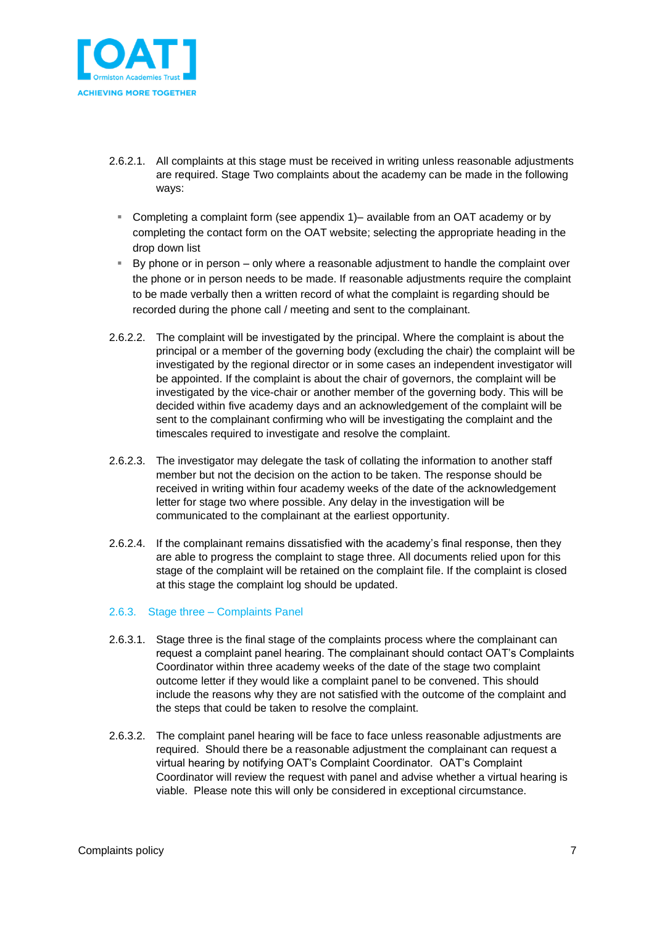

- 2.6.2.1. All complaints at this stage must be received in writing unless reasonable adjustments are required. Stage Two complaints about the academy can be made in the following ways:
- Completing a complaint form (see appendix 1)– available from an OAT academy or by completing the contact form on th[e OAT website;](http://www.ormistonacademiestrust.co.uk/contact) selecting the appropriate heading in the drop down list
- By phone or in person only where a reasonable adjustment to handle the complaint over the phone or in person needs to be made. If reasonable adjustments require the complaint to be made verbally then a written record of what the complaint is regarding should be recorded during the phone call / meeting and sent to the complainant.
- 2.6.2.2. The complaint will be investigated by the principal. Where the complaint is about the principal or a member of the governing body (excluding the chair) the complaint will be investigated by the regional director or in some cases an independent investigator will be appointed. If the complaint is about the chair of governors, the complaint will be investigated by the vice-chair or another member of the governing body. This will be decided within five academy days and an acknowledgement of the complaint will be sent to the complainant confirming who will be investigating the complaint and the timescales required to investigate and resolve the complaint.
- 2.6.2.3. The investigator may delegate the task of collating the information to another staff member but not the decision on the action to be taken. The response should be received in writing within four academy weeks of the date of the acknowledgement letter for stage two where possible. Any delay in the investigation will be communicated to the complainant at the earliest opportunity.
- 2.6.2.4. If the complainant remains dissatisfied with the academy's final response, then they are able to progress the complaint to stage three. All documents relied upon for this stage of the complaint will be retained on the complaint file. If the complaint is closed at this stage the complaint log should be updated.

## 2.6.3. Stage three – Complaints Panel

- 2.6.3.1. Stage three is the final stage of the complaints process where the complainant can request a complaint panel hearing. The complainant should contact OAT's Complaints Coordinator within three academy weeks of the date of the stage two complaint outcome letter if they would like a complaint panel to be convened. This should include the reasons why they are not satisfied with the outcome of the complaint and the steps that could be taken to resolve the complaint.
- 2.6.3.2. The complaint panel hearing will be face to face unless reasonable adjustments are required. Should there be a reasonable adjustment the complainant can request a virtual hearing by notifying OAT's Complaint Coordinator. OAT's Complaint Coordinator will review the request with panel and advise whether a virtual hearing is viable. Please note this will only be considered in exceptional circumstance.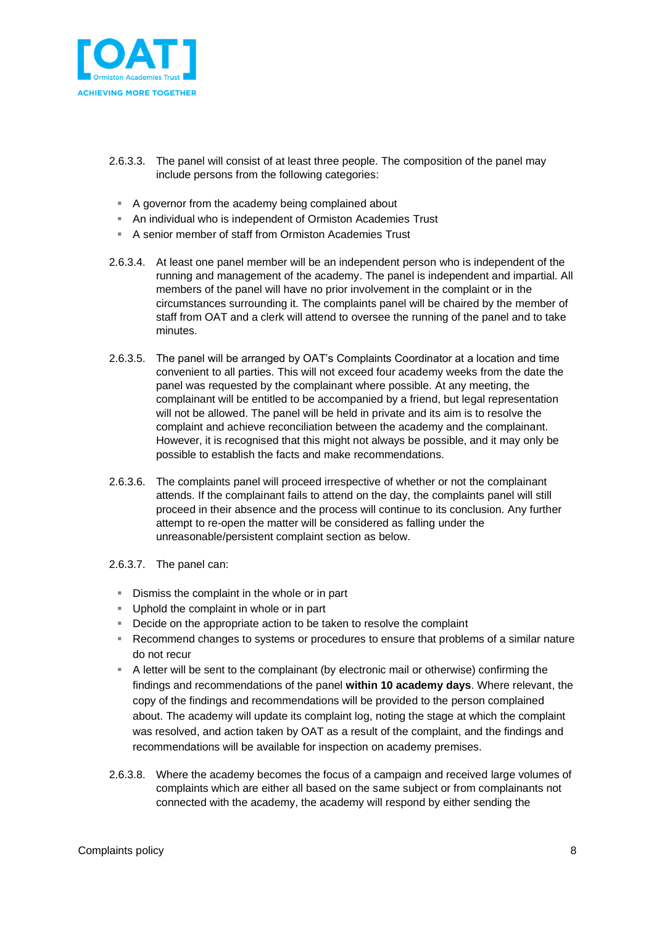

- 2.6.3.3. The panel will consist of at least three people. The composition of the panel may include persons from the following categories:
	- A governor from the academy being complained about
	- An individual who is independent of Ormiston Academies Trust
	- A senior member of staff from Ormiston Academies Trust
- 2.6.3.4. At least one panel member will be an independent person who is independent of the running and management of the academy. The panel is independent and impartial. All members of the panel will have no prior involvement in the complaint or in the circumstances surrounding it. The complaints panel will be chaired by the member of staff from OAT and a clerk will attend to oversee the running of the panel and to take minutes.
- 2.6.3.5. The panel will be arranged by OAT's Complaints Coordinator at a location and time convenient to all parties. This will not exceed four academy weeks from the date the panel was requested by the complainant where possible. At any meeting, the complainant will be entitled to be accompanied by a friend, but legal representation will not be allowed. The panel will be held in private and its aim is to resolve the complaint and achieve reconciliation between the academy and the complainant. However, it is recognised that this might not always be possible, and it may only be possible to establish the facts and make recommendations.
- 2.6.3.6. The complaints panel will proceed irrespective of whether or not the complainant attends. If the complainant fails to attend on the day, the complaints panel will still proceed in their absence and the process will continue to its conclusion. Any further attempt to re-open the matter will be considered as falling under the unreasonable/persistent complaint section as below.
- 2.6.3.7. The panel can:
	- **E** Dismiss the complaint in the whole or in part
	- Uphold the complaint in whole or in part
	- Decide on the appropriate action to be taken to resolve the complaint
	- Recommend changes to systems or procedures to ensure that problems of a similar nature do not recur
	- A letter will be sent to the complainant (by electronic mail or otherwise) confirming the findings and recommendations of the panel **within 10 academy days**. Where relevant, the copy of the findings and recommendations will be provided to the person complained about. The academy will update its complaint log, noting the stage at which the complaint was resolved, and action taken by OAT as a result of the complaint, and the findings and recommendations will be available for inspection on academy premises.
- 2.6.3.8. Where the academy becomes the focus of a campaign and received large volumes of complaints which are either all based on the same subject or from complainants not connected with the academy, the academy will respond by either sending the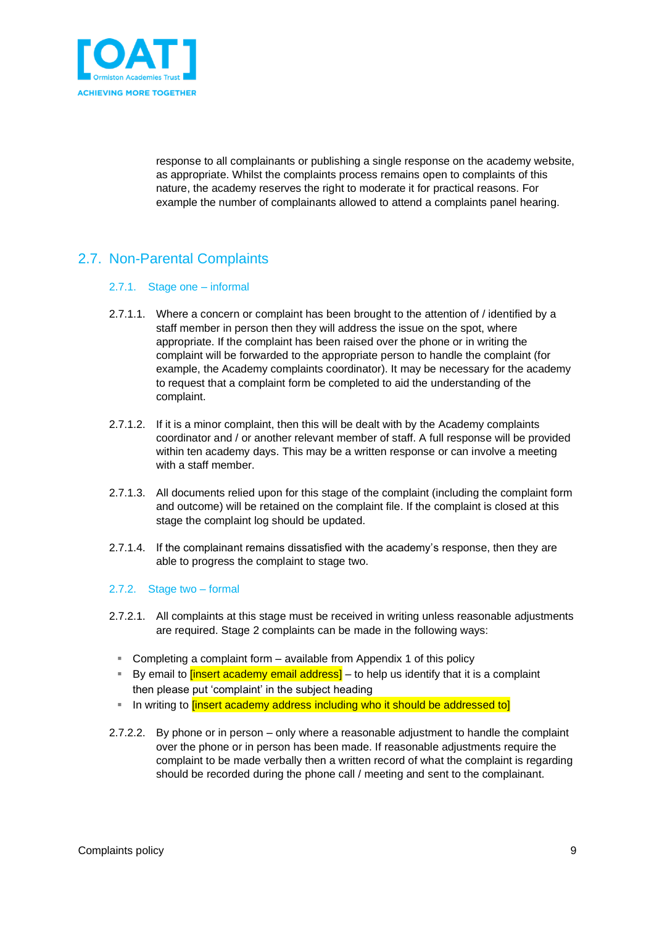

response to all complainants or publishing a single response on the academy website, as appropriate. Whilst the complaints process remains open to complaints of this nature, the academy reserves the right to moderate it for practical reasons. For example the number of complainants allowed to attend a complaints panel hearing.

# <span id="page-8-0"></span>2.7. Non-Parental Complaints

## 2.7.1. Stage one – informal

- 2.7.1.1. Where a concern or complaint has been brought to the attention of / identified by a staff member in person then they will address the issue on the spot, where appropriate. If the complaint has been raised over the phone or in writing the complaint will be forwarded to the appropriate person to handle the complaint (for example, the Academy complaints coordinator). It may be necessary for the academy to request that a complaint form be completed to aid the understanding of the complaint.
- 2.7.1.2. If it is a minor complaint, then this will be dealt with by the Academy complaints coordinator and / or another relevant member of staff. A full response will be provided within ten academy days. This may be a written response or can involve a meeting with a staff member.
- 2.7.1.3. All documents relied upon for this stage of the complaint (including the complaint form and outcome) will be retained on the complaint file. If the complaint is closed at this stage the complaint log should be updated.
- 2.7.1.4. If the complainant remains dissatisfied with the academy's response, then they are able to progress the complaint to stage two.

## 2.7.2. Stage two – formal

- 2.7.2.1. All complaints at this stage must be received in writing unless reasonable adjustments are required. Stage 2 complaints can be made in the following ways:
	- Completing a complaint form available from Appendix 1 of this policy
	- **EX** By email to *linsert academy email address*] to help us identify that it is a complaint then please put 'complaint' in the subject heading
	- **EXT** In writing to *linsert academy address including who it should be addressed to*
- 2.7.2.2. By phone or in person only where a reasonable adjustment to handle the complaint over the phone or in person has been made. If reasonable adjustments require the complaint to be made verbally then a written record of what the complaint is regarding should be recorded during the phone call / meeting and sent to the complainant.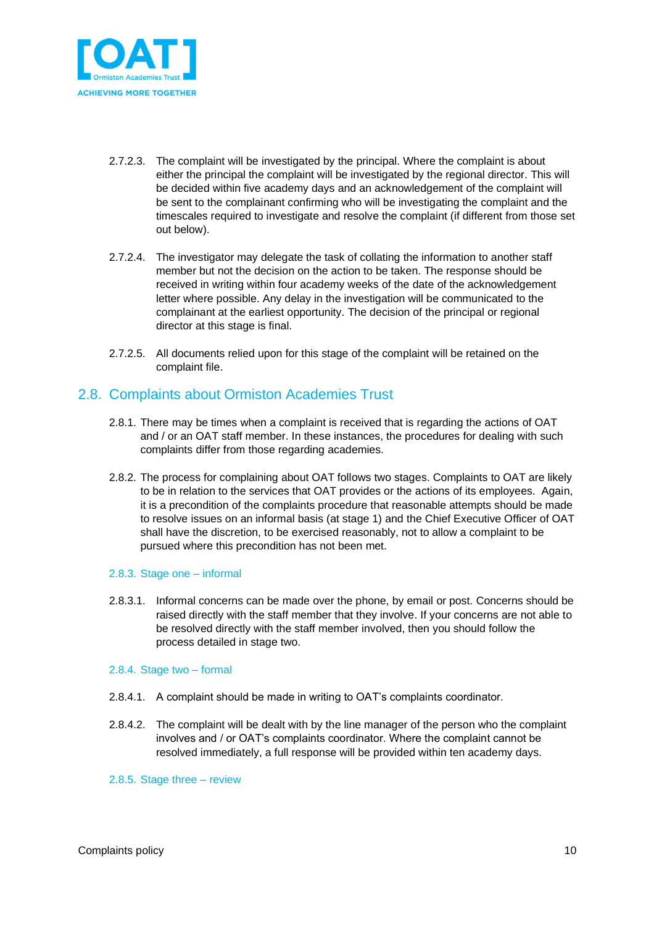

- 2.7.2.3. The complaint will be investigated by the principal. Where the complaint is about either the principal the complaint will be investigated by the regional director. This will be decided within five academy days and an acknowledgement of the complaint will be sent to the complainant confirming who will be investigating the complaint and the timescales required to investigate and resolve the complaint (if different from those set out below).
- 2.7.2.4. The investigator may delegate the task of collating the information to another staff member but not the decision on the action to be taken. The response should be received in writing within four academy weeks of the date of the acknowledgement letter where possible. Any delay in the investigation will be communicated to the complainant at the earliest opportunity. The decision of the principal or regional director at this stage is final.
- 2.7.2.5. All documents relied upon for this stage of the complaint will be retained on the complaint file.

## <span id="page-9-0"></span>2.8. Complaints about Ormiston Academies Trust

- 2.8.1. There may be times when a complaint is received that is regarding the actions of OAT and / or an OAT staff member. In these instances, the procedures for dealing with such complaints differ from those regarding academies.
- 2.8.2. The process for complaining about OAT follows two stages. Complaints to OAT are likely to be in relation to the services that OAT provides or the actions of its employees. Again, it is a precondition of the complaints procedure that reasonable attempts should be made to resolve issues on an informal basis (at stage 1) and the Chief Executive Officer of OAT shall have the discretion, to be exercised reasonably, not to allow a complaint to be pursued where this precondition has not been met.

## 2.8.3. Stage one – informal

2.8.3.1. Informal concerns can be made over the phone, by email or post. Concerns should be raised directly with the staff member that they involve. If your concerns are not able to be resolved directly with the staff member involved, then you should follow the process detailed in stage two.

### 2.8.4. Stage two – formal

- 2.8.4.1. A complaint should be made in writing to OAT's complaints coordinator.
- 2.8.4.2. The complaint will be dealt with by the line manager of the person who the complaint involves and / or OAT's complaints coordinator. Where the complaint cannot be resolved immediately, a full response will be provided within ten academy days.
- 2.8.5. Stage three review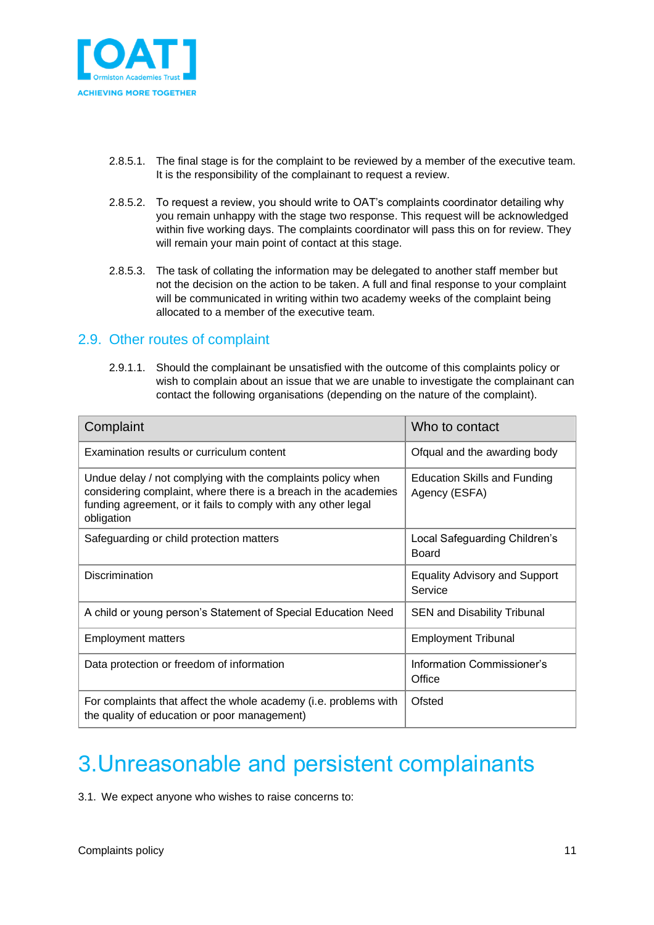

- 2.8.5.1. The final stage is for the complaint to be reviewed by a member of the executive team. It is the responsibility of the complainant to request a review.
- 2.8.5.2. To request a review, you should write to OAT's complaints coordinator detailing why you remain unhappy with the stage two response. This request will be acknowledged within five working days. The complaints coordinator will pass this on for review. They will remain your main point of contact at this stage.
- 2.8.5.3. The task of collating the information may be delegated to another staff member but not the decision on the action to be taken. A full and final response to your complaint will be communicated in writing within two academy weeks of the complaint being allocated to a member of the executive team.

## <span id="page-10-0"></span>2.9. Other routes of complaint

2.9.1.1. Should the complainant be unsatisfied with the outcome of this complaints policy or wish to complain about an issue that we are unable to investigate the complainant can contact the following organisations (depending on the nature of the complaint).

| Complaint                                                                                                                                                                                                     | Who to contact                                  |
|---------------------------------------------------------------------------------------------------------------------------------------------------------------------------------------------------------------|-------------------------------------------------|
| Examination results or curriculum content                                                                                                                                                                     | Ofqual and the awarding body                    |
| Undue delay / not complying with the complaints policy when<br>considering complaint, where there is a breach in the academies<br>funding agreement, or it fails to comply with any other legal<br>obligation | Education Skills and Funding<br>Agency (ESFA)   |
| Safeguarding or child protection matters                                                                                                                                                                      | Local Safeguarding Children's<br>Board          |
| <b>Discrimination</b>                                                                                                                                                                                         | <b>Equality Advisory and Support</b><br>Service |
| A child or young person's Statement of Special Education Need                                                                                                                                                 | <b>SEN and Disability Tribunal</b>              |
| <b>Employment matters</b>                                                                                                                                                                                     | <b>Employment Tribunal</b>                      |
| Data protection or freedom of information                                                                                                                                                                     | Information Commissioner's<br>Office            |
| For complaints that affect the whole academy (i.e. problems with<br>the quality of education or poor management)                                                                                              | Ofsted                                          |

# <span id="page-10-1"></span>3.Unreasonable and persistent complainants

3.1. We expect anyone who wishes to raise concerns to: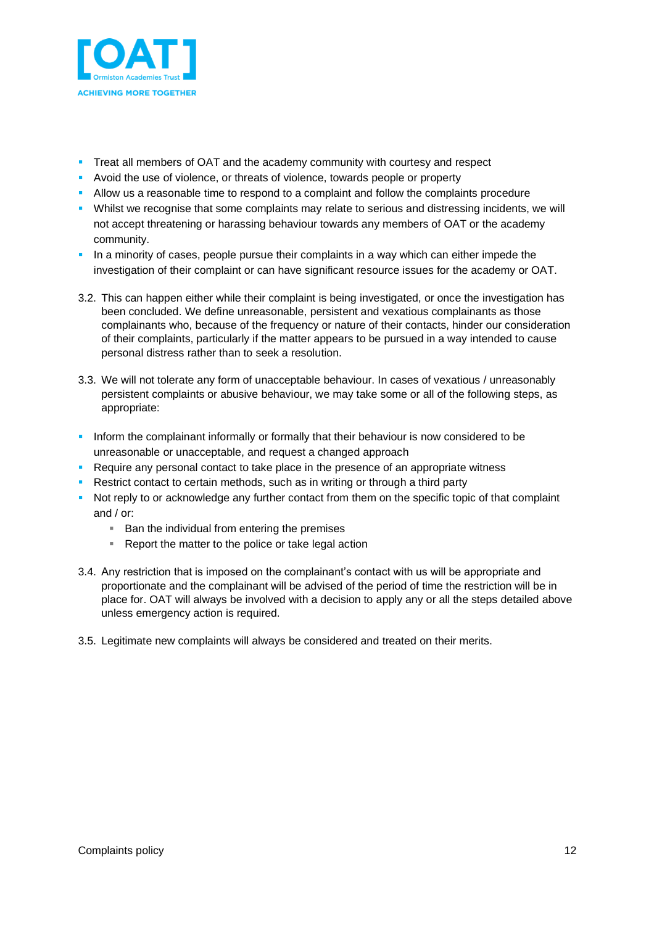

- **Treat all members of OAT and the academy community with courtesy and respect**
- Avoid the use of violence, or threats of violence, towards people or property
- **EXECT** Allow us a reasonable time to respond to a complaint and follow the complaints procedure
- Whilst we recognise that some complaints may relate to serious and distressing incidents, we will not accept threatening or harassing behaviour towards any members of OAT or the academy community.
- **•** In a minority of cases, people pursue their complaints in a way which can either impede the investigation of their complaint or can have significant resource issues for the academy or OAT.
- 3.2. This can happen either while their complaint is being investigated, or once the investigation has been concluded. We define unreasonable, persistent and vexatious complainants as those complainants who, because of the frequency or nature of their contacts, hinder our consideration of their complaints, particularly if the matter appears to be pursued in a way intended to cause personal distress rather than to seek a resolution.
- 3.3. We will not tolerate any form of unacceptable behaviour. In cases of vexatious / unreasonably persistent complaints or abusive behaviour, we may take some or all of the following steps, as appropriate:
- **•** Inform the complainant informally or formally that their behaviour is now considered to be unreasonable or unacceptable, and request a changed approach
- **Require any personal contact to take place in the presence of an appropriate witness**
- Restrict contact to certain methods, such as in writing or through a third party
- Not reply to or acknowledge any further contact from them on the specific topic of that complaint and / or:
	- Ban the individual from entering the premises
	- Report the matter to the police or take legal action
- 3.4. Any restriction that is imposed on the complainant's contact with us will be appropriate and proportionate and the complainant will be advised of the period of time the restriction will be in place for. OAT will always be involved with a decision to apply any or all the steps detailed above unless emergency action is required.
- 3.5. Legitimate new complaints will always be considered and treated on their merits.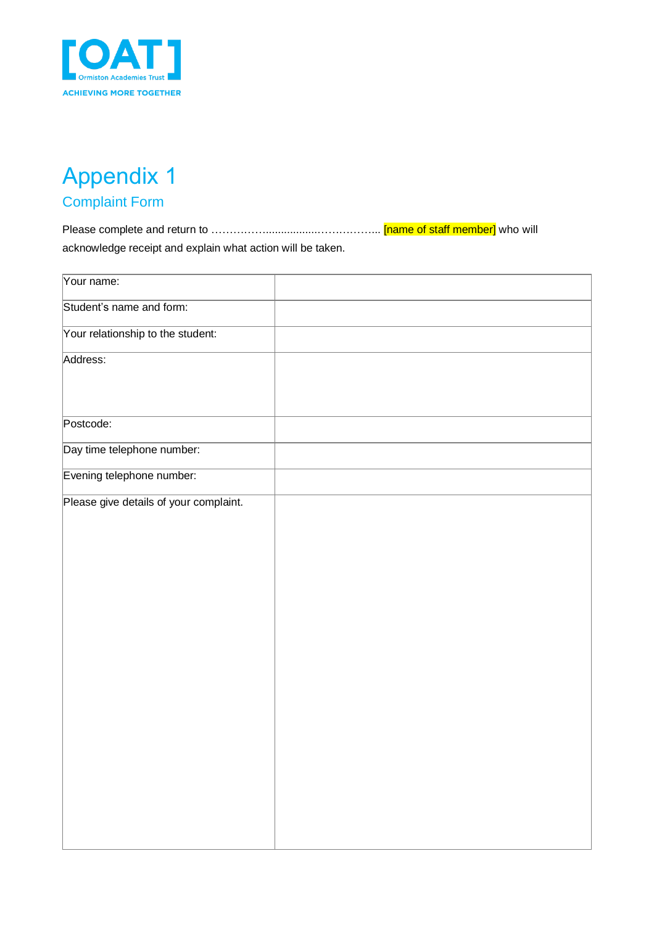

# <span id="page-12-0"></span>Appendix 1 Complaint Form

<span id="page-12-1"></span>Please complete and return to …………….................……………... [name of staff member] who will acknowledge receipt and explain what action will be taken.

| Your name:                             |  |
|----------------------------------------|--|
| Student's name and form:               |  |
| Your relationship to the student:      |  |
| Address:                               |  |
| Postcode:                              |  |
| Day time telephone number:             |  |
| Evening telephone number:              |  |
| Please give details of your complaint. |  |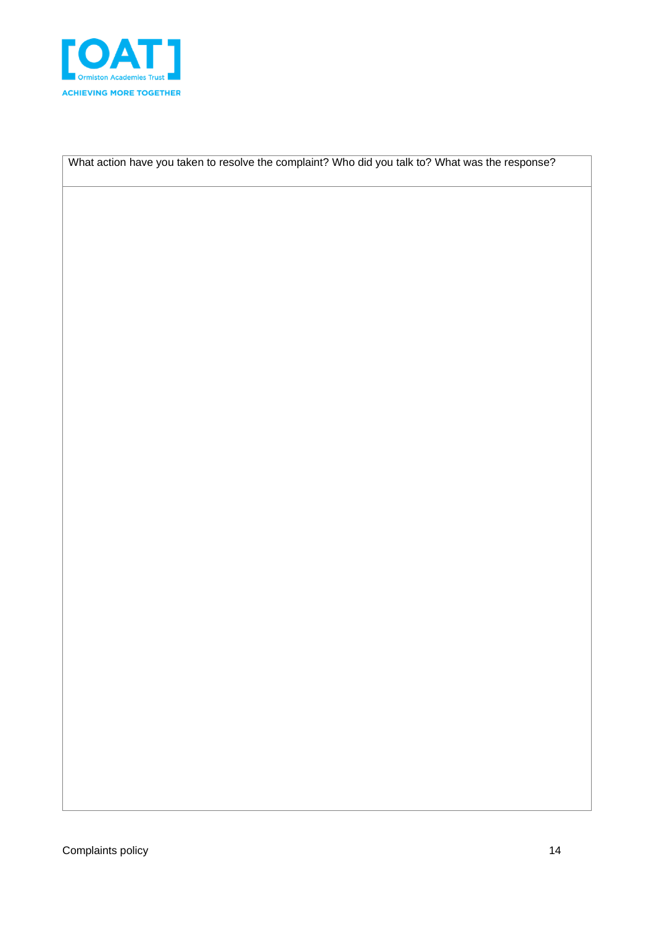

What action have you taken to resolve the complaint? Who did you talk to? What was the response?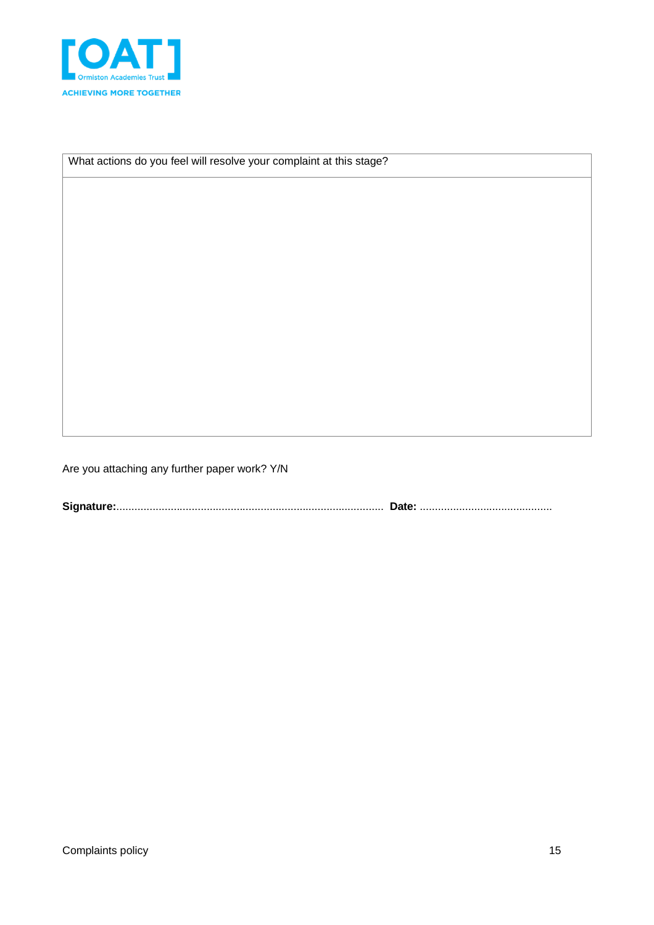

What actions do you feel will resolve your complaint at this stage?

Are you attaching any further paper work? Y/N

**Signature:**......................................................................................... **Date:** ............................................